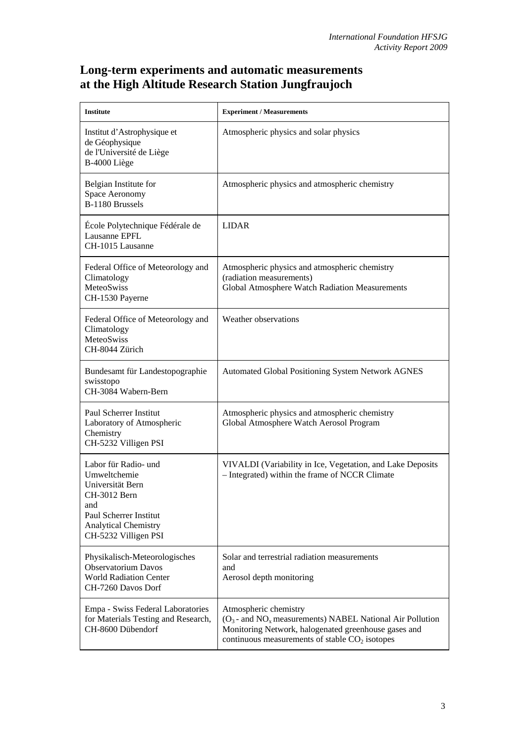## **Long-term experiments and automatic measurements at the High Altitude Research Station Jungfraujoch**

| <b>Institute</b>                                                                                                                                                 | <b>Experiment / Measurements</b>                                                                                                                                                                                       |
|------------------------------------------------------------------------------------------------------------------------------------------------------------------|------------------------------------------------------------------------------------------------------------------------------------------------------------------------------------------------------------------------|
| Institut d'Astrophysique et<br>de Géophysique<br>de l'Université de Liège<br>B-4000 Liège                                                                        | Atmospheric physics and solar physics                                                                                                                                                                                  |
| Belgian Institute for<br>Space Aeronomy<br>B-1180 Brussels                                                                                                       | Atmospheric physics and atmospheric chemistry                                                                                                                                                                          |
| École Polytechnique Fédérale de<br>Lausanne EPFL<br>CH-1015 Lausanne                                                                                             | <b>LIDAR</b>                                                                                                                                                                                                           |
| Federal Office of Meteorology and<br>Climatology<br>MeteoSwiss<br>CH-1530 Payerne                                                                                | Atmospheric physics and atmospheric chemistry<br>(radiation measurements)<br>Global Atmosphere Watch Radiation Measurements                                                                                            |
| Federal Office of Meteorology and<br>Climatology<br>MeteoSwiss<br>CH-8044 Zürich                                                                                 | Weather observations                                                                                                                                                                                                   |
| Bundesamt für Landestopographie<br>swisstopo<br>CH-3084 Wabern-Bern                                                                                              | <b>Automated Global Positioning System Network AGNES</b>                                                                                                                                                               |
| Paul Scherrer Institut<br>Laboratory of Atmospheric<br>Chemistry<br>CH-5232 Villigen PSI                                                                         | Atmospheric physics and atmospheric chemistry<br>Global Atmosphere Watch Aerosol Program                                                                                                                               |
| Labor für Radio- und<br>Umweltchemie<br>Universität Bern<br>CH-3012 Bern<br>and<br>Paul Scherrer Institut<br><b>Analytical Chemistry</b><br>CH-5232 Villigen PSI | VIVALDI (Variability in Ice, Vegetation, and Lake Deposits<br>- Integrated) within the frame of NCCR Climate                                                                                                           |
| Physikalisch-Meteorologisches<br><b>Observatorium Davos</b><br><b>World Radiation Center</b><br>CH-7260 Davos Dorf                                               | Solar and terrestrial radiation measurements<br>and<br>Aerosol depth monitoring                                                                                                                                        |
| Empa - Swiss Federal Laboratories<br>for Materials Testing and Research,<br>CH-8600 Dübendorf                                                                    | Atmospheric chemistry<br>$(O_3$ - and NO <sub>x</sub> measurements) NABEL National Air Pollution<br>Monitoring Network, halogenated greenhouse gases and<br>continuous measurements of stable CO <sub>2</sub> isotopes |